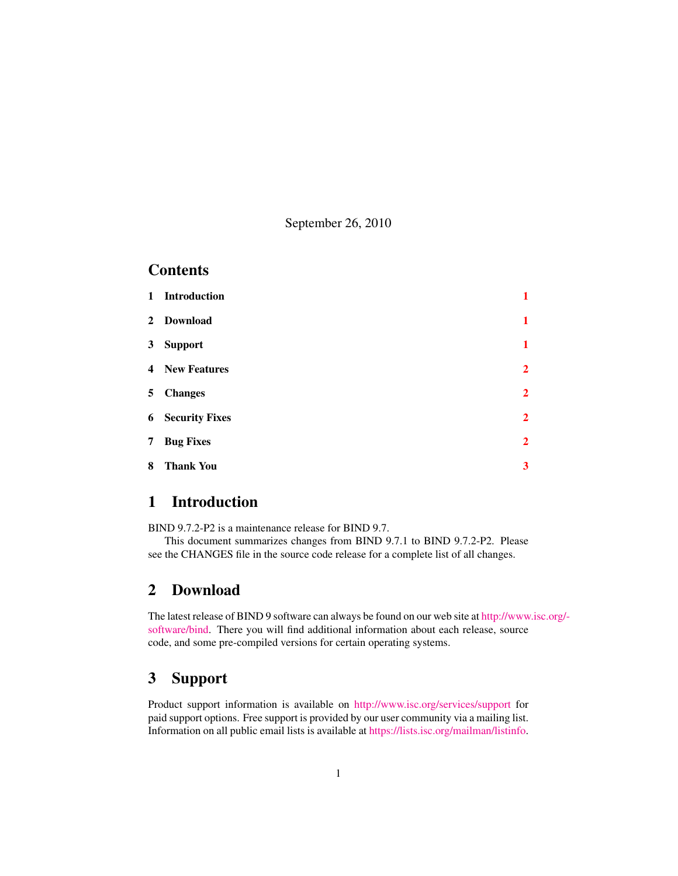September 26, 2010

#### **Contents**

|   | 1 Introduction          | 1              |
|---|-------------------------|----------------|
|   | 2 Download              | $\mathbf{1}$   |
|   | 3 Support               | $\mathbf{1}$   |
|   | <b>4</b> New Features   | $\overline{2}$ |
|   | 5 Changes               | $\overline{2}$ |
|   | <b>6</b> Security Fixes | $\overline{2}$ |
| 7 | <b>Bug Fixes</b>        | $\overline{2}$ |
| 8 | <b>Thank You</b>        | 3              |

## <span id="page-0-0"></span>1 Introduction

BIND 9.7.2-P2 is a maintenance release for BIND 9.7.

This document summarizes changes from BIND 9.7.1 to BIND 9.7.2-P2. Please see the CHANGES file in the source code release for a complete list of all changes.

#### <span id="page-0-1"></span>2 Download

The latest release of BIND 9 software can always be found on our web site at [http://www](http://www.isc.org/software/bind).isc.org/ [software/bind.](http://www.isc.org/software/bind) There you will find additional information about each release, source code, and some pre-compiled versions for certain operating systems.

### <span id="page-0-2"></span>3 Support

Product support information is available on <http://www.isc.org/services/support> for paid support options. Free support is provided by our user community via a mailing list. Information on all public email lists is available at [https://lists.isc.org/mailman/listinfo.](https://lists.isc.org/mailman/listinfo)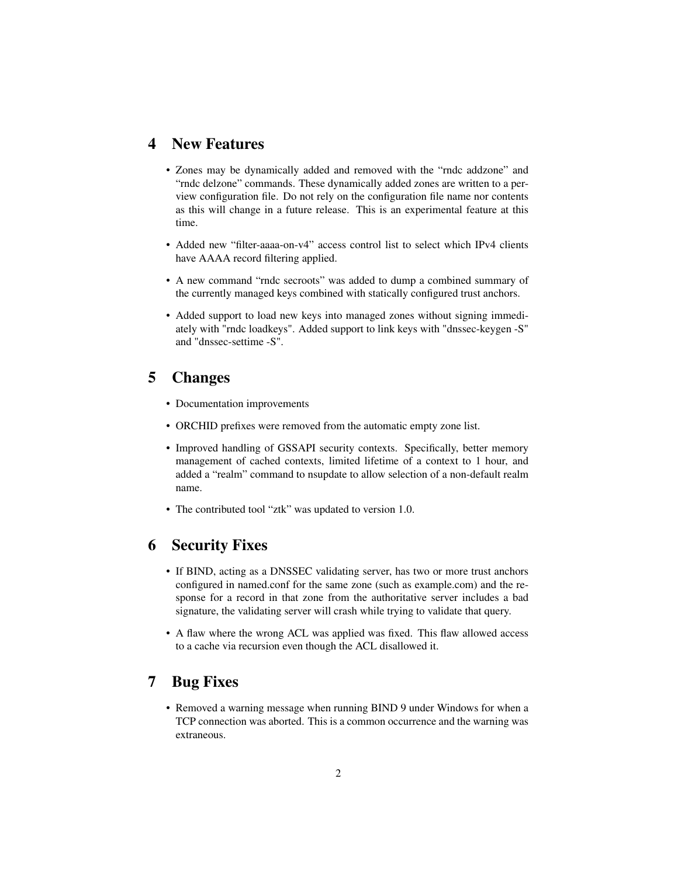#### <span id="page-1-0"></span>4 New Features

- Zones may be dynamically added and removed with the "rndc addzone" and "rndc delzone" commands. These dynamically added zones are written to a perview configuration file. Do not rely on the configuration file name nor contents as this will change in a future release. This is an experimental feature at this time.
- Added new "filter-aaaa-on-v4" access control list to select which IPv4 clients have AAAA record filtering applied.
- A new command "rndc secroots" was added to dump a combined summary of the currently managed keys combined with statically configured trust anchors.
- Added support to load new keys into managed zones without signing immediately with "rndc loadkeys". Added support to link keys with "dnssec-keygen -S" and "dnssec-settime -S".

#### <span id="page-1-1"></span>5 Changes

- Documentation improvements
- ORCHID prefixes were removed from the automatic empty zone list.
- Improved handling of GSSAPI security contexts. Specifically, better memory management of cached contexts, limited lifetime of a context to 1 hour, and added a "realm" command to nsupdate to allow selection of a non-default realm name.
- The contributed tool "ztk" was updated to version 1.0.

#### <span id="page-1-2"></span>6 Security Fixes

- If BIND, acting as a DNSSEC validating server, has two or more trust anchors configured in named.conf for the same zone (such as example.com) and the response for a record in that zone from the authoritative server includes a bad signature, the validating server will crash while trying to validate that query.
- A flaw where the wrong ACL was applied was fixed. This flaw allowed access to a cache via recursion even though the ACL disallowed it.

### <span id="page-1-3"></span>7 Bug Fixes

• Removed a warning message when running BIND 9 under Windows for when a TCP connection was aborted. This is a common occurrence and the warning was extraneous.